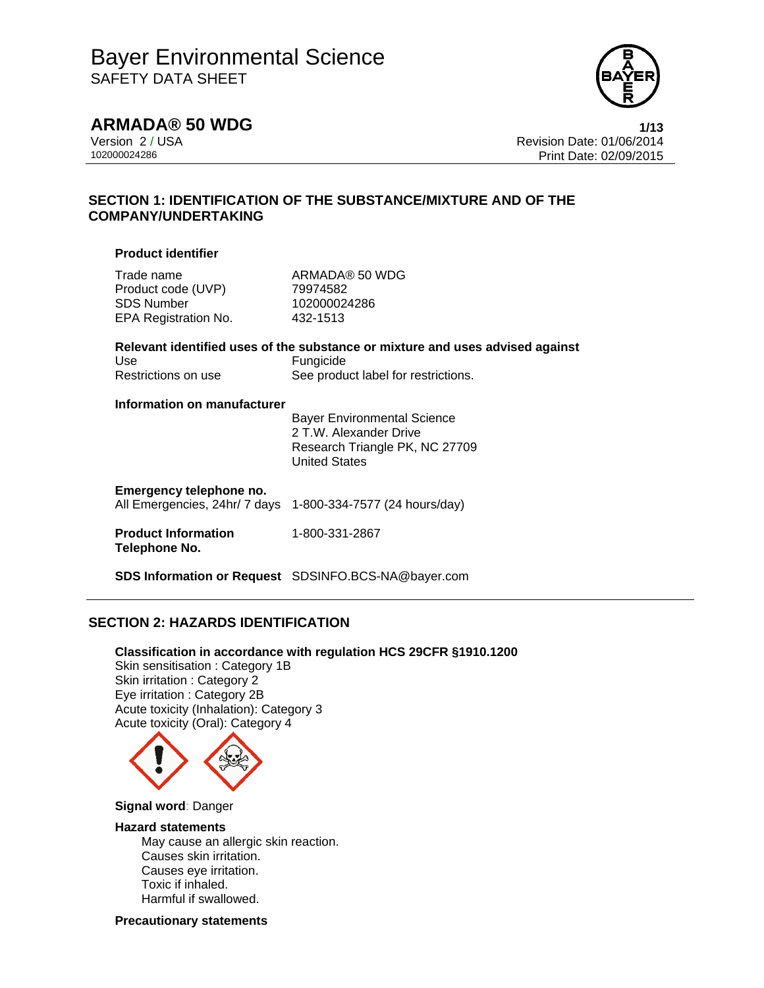

**ARMADA® 50 WDG 1/13**

Version 2 / USA Revision Date: 01/06/2014 102000024286 Print Date: 02/09/2015

## **SECTION 1: IDENTIFICATION OF THE SUBSTANCE/MIXTURE AND OF THE COMPANY/UNDERTAKING**

## **Product identifier**

Trade name ARMADA® 50 WDG Product code (UVP) 79974582 SDS Number 102000024286 EPA Registration No. 432-1513

## **Relevant identified uses of the substance or mixture and uses advised against**  Use **Fungicide** Restrictions on use See product label for restrictions.

## **Information on manufacturer**

 Bayer Environmental Science 2 T.W. Alexander Drive Research Triangle PK, NC 27709 United States

## **Emergency telephone no.**

All Emergencies, 24hr/ 7 days 1-800-334-7577 (24 hours/day)

#### **Product Information Telephone No.**  1-800-331-2867

**SDS Information or Request** SDSINFO.BCS-NA@bayer.com

## **SECTION 2: HAZARDS IDENTIFICATION**

**Classification in accordance with regulation HCS 29CFR §1910.1200**  Skin sensitisation : Category 1B Skin irritation : Category 2 Eye irritation : Category 2B Acute toxicity (Inhalation): Category 3 Acute toxicity (Oral): Category 4



#### **Signal word**: Danger

### **Hazard statements**

May cause an allergic skin reaction. Causes skin irritation. Causes eye irritation. Toxic if inhaled. Harmful if swallowed.

**Precautionary statements**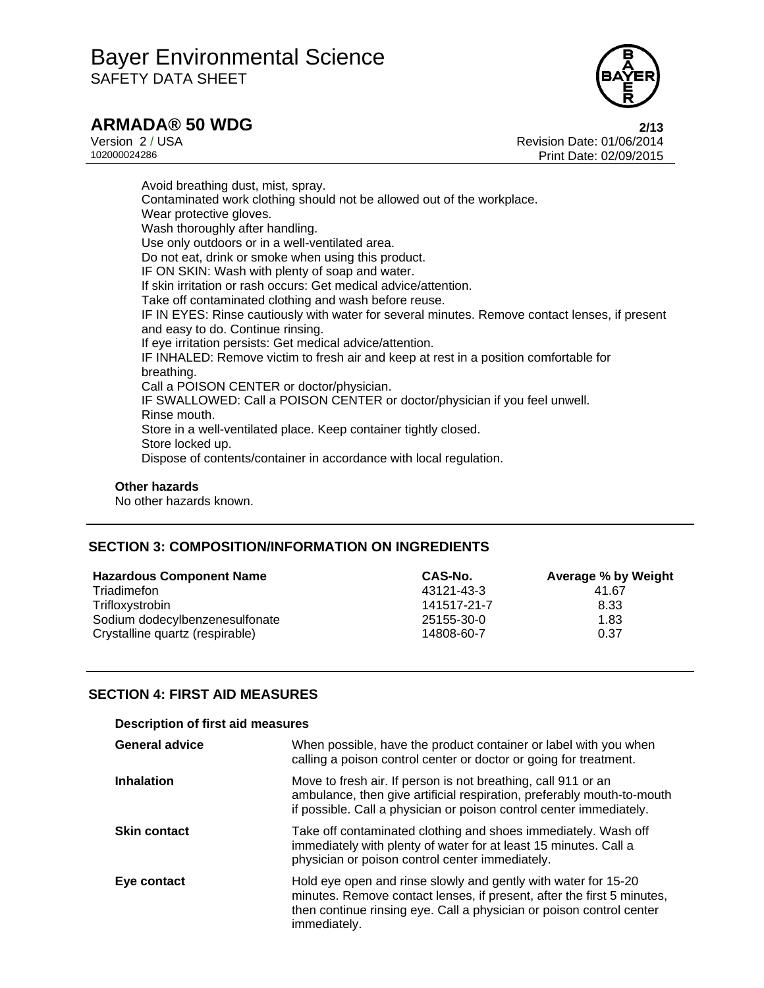

## **ARMADA® 50 WDG 2/13**

Version 2 / USA<br>102000024286<br>102000024286 Revision Date: 02/09/2015 Print Date: 02/09/2015

Avoid breathing dust, mist, spray. Contaminated work clothing should not be allowed out of the workplace. Wear protective gloves. Wash thoroughly after handling. Use only outdoors or in a well-ventilated area. Do not eat, drink or smoke when using this product. IF ON SKIN: Wash with plenty of soap and water. If skin irritation or rash occurs: Get medical advice/attention. Take off contaminated clothing and wash before reuse. IF IN EYES: Rinse cautiously with water for several minutes. Remove contact lenses, if present and easy to do. Continue rinsing. If eye irritation persists: Get medical advice/attention. IF INHALED: Remove victim to fresh air and keep at rest in a position comfortable for breathing. Call a POISON CENTER or doctor/physician. IF SWALLOWED: Call a POISON CENTER or doctor/physician if you feel unwell. Rinse mouth. Store in a well-ventilated place. Keep container tightly closed. Store locked up. Dispose of contents/container in accordance with local regulation.

## **Other hazards**

No other hazards known.

## **SECTION 3: COMPOSITION/INFORMATION ON INGREDIENTS**

| <b>Hazardous Component Name</b> | CAS-No.     | Average % by Weight |
|---------------------------------|-------------|---------------------|
| Triadimefon                     | 43121-43-3  | 41.67               |
| Trifloxystrobin                 | 141517-21-7 | 8.33                |
| Sodium dodecylbenzenesulfonate  | 25155-30-0  | 1.83                |
| Crystalline quartz (respirable) | 14808-60-7  | 0.37                |

## **SECTION 4: FIRST AID MEASURES**

| <b>Description of first aid measures</b> |                                                                                                                                                                                                                                  |  |
|------------------------------------------|----------------------------------------------------------------------------------------------------------------------------------------------------------------------------------------------------------------------------------|--|
| <b>General advice</b>                    | When possible, have the product container or label with you when<br>calling a poison control center or doctor or going for treatment.                                                                                            |  |
| <b>Inhalation</b>                        | Move to fresh air. If person is not breathing, call 911 or an<br>ambulance, then give artificial respiration, preferably mouth-to-mouth<br>if possible. Call a physician or poison control center immediately.                   |  |
| <b>Skin contact</b>                      | Take off contaminated clothing and shoes immediately. Wash off<br>immediately with plenty of water for at least 15 minutes. Call a<br>physician or poison control center immediately.                                            |  |
| Eye contact                              | Hold eye open and rinse slowly and gently with water for 15-20<br>minutes. Remove contact lenses, if present, after the first 5 minutes,<br>then continue rinsing eye. Call a physician or poison control center<br>immediately. |  |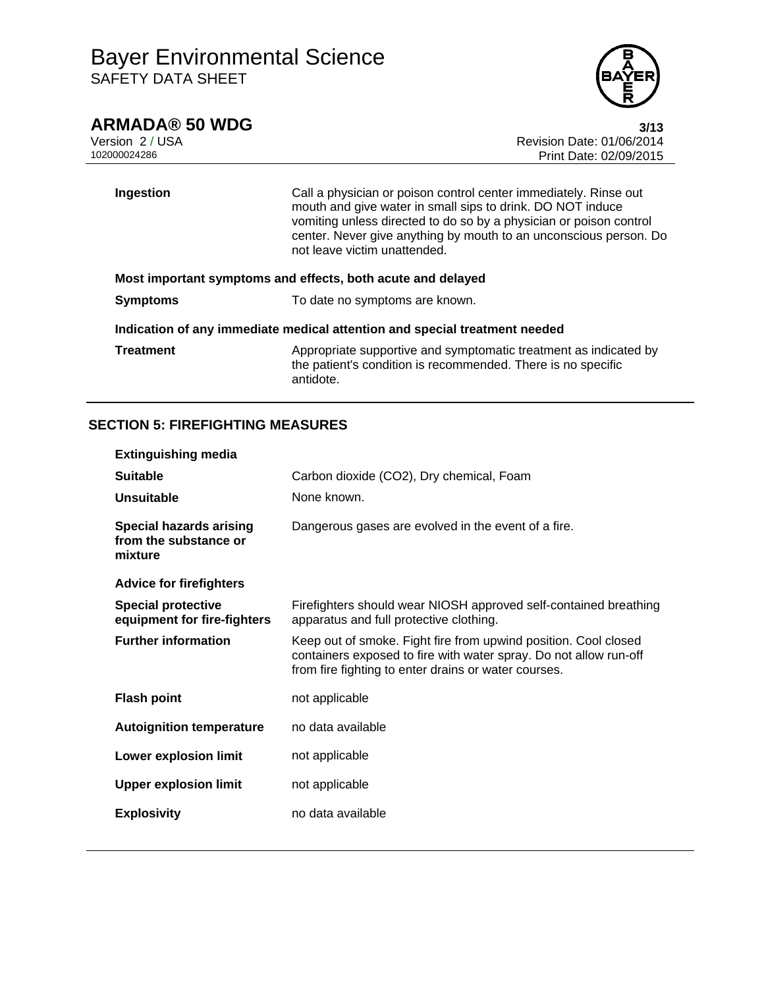

## **ARMADA® 50 WDG 3/13**

Version 2 / USA Revision Date: 01/06/2014 Print Date: 02/09/2015

**Ingestion** Call a physician or poison control center immediately. Rinse out mouth and give water in small sips to drink. DO NOT induce vomiting unless directed to do so by a physician or poison control center. Never give anything by mouth to an unconscious person. Do not leave victim unattended. **Most important symptoms and effects, both acute and delayed Symptoms To date no symptoms are known. Indication of any immediate medical attention and special treatment needed** 

**Treatment** Appropriate supportive and symptomatic treatment as indicated by the patient's condition is recommended. There is no specific antidote.

## **SECTION 5: FIREFIGHTING MEASURES**

| <b>Extinguishing media</b>                                         |                                                                                                                                                                                              |
|--------------------------------------------------------------------|----------------------------------------------------------------------------------------------------------------------------------------------------------------------------------------------|
| <b>Suitable</b>                                                    | Carbon dioxide (CO2), Dry chemical, Foam                                                                                                                                                     |
| Unsuitable                                                         | None known.                                                                                                                                                                                  |
| <b>Special hazards arising</b><br>from the substance or<br>mixture | Dangerous gases are evolved in the event of a fire.                                                                                                                                          |
| <b>Advice for firefighters</b>                                     |                                                                                                                                                                                              |
| <b>Special protective</b><br>equipment for fire-fighters           | Firefighters should wear NIOSH approved self-contained breathing<br>apparatus and full protective clothing.                                                                                  |
| <b>Further information</b>                                         | Keep out of smoke. Fight fire from upwind position. Cool closed<br>containers exposed to fire with water spray. Do not allow run-off<br>from fire fighting to enter drains or water courses. |
| <b>Flash point</b>                                                 | not applicable                                                                                                                                                                               |
| <b>Autoignition temperature</b>                                    | no data available                                                                                                                                                                            |
| <b>Lower explosion limit</b>                                       | not applicable                                                                                                                                                                               |
| <b>Upper explosion limit</b>                                       | not applicable                                                                                                                                                                               |
| <b>Explosivity</b>                                                 | no data available                                                                                                                                                                            |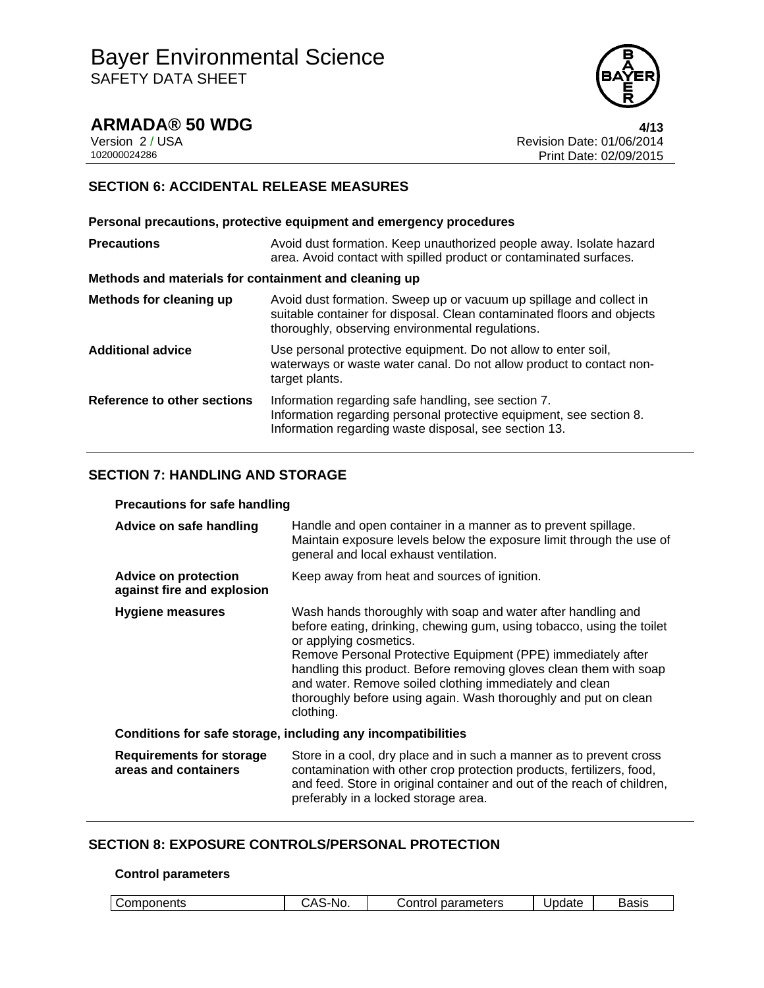

**ARMADA® 50 WDG** 4/13<br>Version 2/USA 4/13 Version 2 / USA **Version 2 / USA Revision Date: 01/06/2014**<br>102000024286 **Print Date: 02/09/2015** Print Date: 02/09/2015

## **SECTION 6: ACCIDENTAL RELEASE MEASURES**

| Personal precautions, protective equipment and emergency procedures                                                                                                                               |
|---------------------------------------------------------------------------------------------------------------------------------------------------------------------------------------------------|
| Avoid dust formation. Keep unauthorized people away. Isolate hazard<br>area. Avoid contact with spilled product or contaminated surfaces.                                                         |
| Methods and materials for containment and cleaning up                                                                                                                                             |
| Avoid dust formation. Sweep up or vacuum up spillage and collect in<br>suitable container for disposal. Clean contaminated floors and objects<br>thoroughly, observing environmental regulations. |
| Use personal protective equipment. Do not allow to enter soil,<br>waterways or waste water canal. Do not allow product to contact non-<br>target plants.                                          |
| Information regarding safe handling, see section 7.<br>Information regarding personal protective equipment, see section 8.<br>Information regarding waste disposal, see section 13.               |
|                                                                                                                                                                                                   |

## **SECTION 7: HANDLING AND STORAGE**

### **Precautions for safe handling**

| Advice on safe handling                                   | Handle and open container in a manner as to prevent spillage.<br>Maintain exposure levels below the exposure limit through the use of<br>general and local exhaust ventilation.                                                                                                                                                                                                                                                                  |
|-----------------------------------------------------------|--------------------------------------------------------------------------------------------------------------------------------------------------------------------------------------------------------------------------------------------------------------------------------------------------------------------------------------------------------------------------------------------------------------------------------------------------|
| <b>Advice on protection</b><br>against fire and explosion | Keep away from heat and sources of ignition.                                                                                                                                                                                                                                                                                                                                                                                                     |
| Hygiene measures                                          | Wash hands thoroughly with soap and water after handling and<br>before eating, drinking, chewing gum, using tobacco, using the toilet<br>or applying cosmetics.<br>Remove Personal Protective Equipment (PPE) immediately after<br>handling this product. Before removing gloves clean them with soap<br>and water. Remove soiled clothing immediately and clean<br>thoroughly before using again. Wash thoroughly and put on clean<br>clothing. |
|                                                           | Conditions for safe storage, including any incompatibilities                                                                                                                                                                                                                                                                                                                                                                                     |
| <b>Requirements for storage</b><br>areas and containers   | Store in a cool, dry place and in such a manner as to prevent cross<br>contamination with other crop protection products, fertilizers, food,<br>and feed. Store in original container and out of the reach of children,<br>preferably in a locked storage area.                                                                                                                                                                                  |

## **SECTION 8: EXPOSURE CONTROLS/PERSONAL PROTECTION**

#### **Control parameters**

|  | Components | $\mathbf{r}$<br>`-No.<br>◡ | parameters<br>: ontrolہ | Update | Basis |
|--|------------|----------------------------|-------------------------|--------|-------|
|--|------------|----------------------------|-------------------------|--------|-------|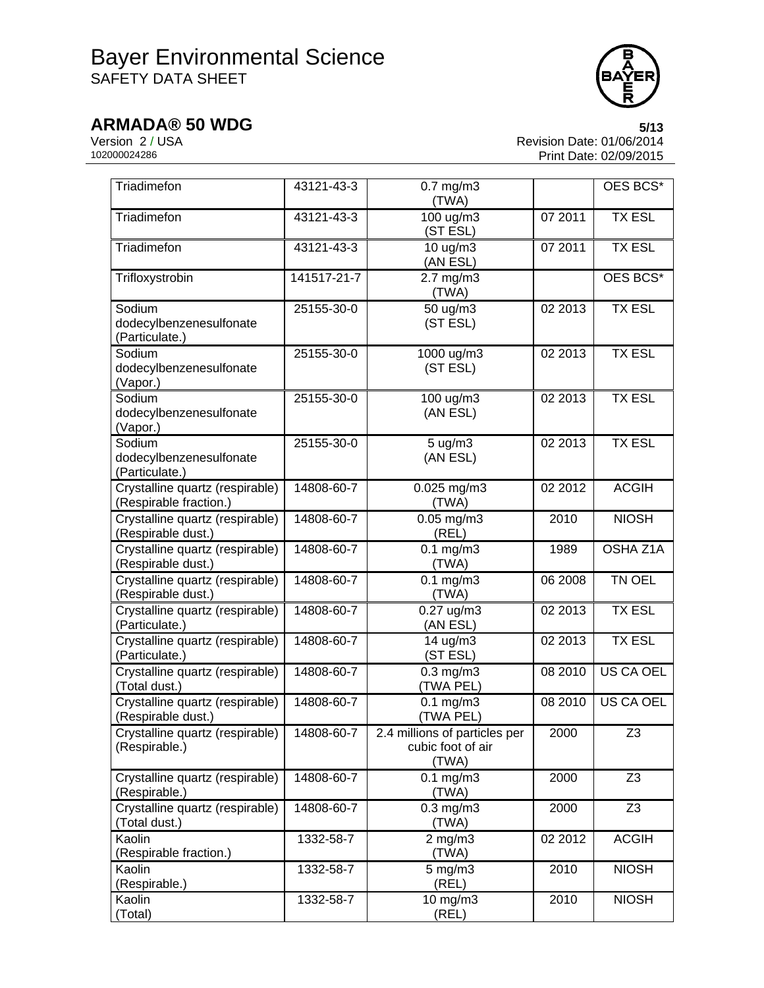

**ARMADA® 50 WDG** 5/13<br>Version 2/USA 6/13<br>Revision Date: 01/06/2014 Version 2 / USA <br>102000024286 <br>Print Date: 02/09/2015 Print Date: 02/09/2015

| Triadimefon                                               | 43121-43-3  | $0.7$ mg/m $3$<br>(TWA)                                     |         | OES BCS*         |
|-----------------------------------------------------------|-------------|-------------------------------------------------------------|---------|------------------|
| Triadimefon                                               | 43121-43-3  | $\frac{100}{100}$ ug/m3<br>(ST ESL)                         | 07 2011 | <b>TX ESL</b>    |
| Triadimefon                                               | 43121-43-3  | 10 ug/m3<br>(AN ESL)                                        | 07 2011 | <b>TX ESL</b>    |
| Trifloxystrobin                                           | 141517-21-7 | $2.7$ mg/m $3$<br>(TWA)                                     |         | OES BCS*         |
| Sodium<br>dodecylbenzenesulfonate<br>(Particulate.)       | 25155-30-0  | 50 ug/m3<br>(ST ESL)                                        | 02 2013 | <b>TX ESL</b>    |
| Sodium<br>dodecylbenzenesulfonate<br>(Vapor.)             | 25155-30-0  | 1000 ug/m3<br>(ST ESL)                                      | 02 2013 | <b>TX ESL</b>    |
| Sodium<br>dodecylbenzenesulfonate<br>(Vapor.)             | 25155-30-0  | 100 ug/m3<br>(AN ESL)                                       | 02 2013 | <b>TX ESL</b>    |
| Sodium<br>dodecylbenzenesulfonate<br>(Particulate.)       | 25155-30-0  | 5 ug/m3<br>(AN ESL)                                         | 02 2013 | <b>TX ESL</b>    |
| Crystalline quartz (respirable)<br>(Respirable fraction.) | 14808-60-7  | 0.025 mg/m3<br>(TWA)                                        | 02 2012 | <b>ACGIH</b>     |
| Crystalline quartz (respirable)<br>(Respirable dust.)     | 14808-60-7  | $0.05$ mg/m $3$<br>(REL)                                    | 2010    | <b>NIOSH</b>     |
| Crystalline quartz (respirable)<br>(Respirable dust.)     | 14808-60-7  | $0.1$ mg/m $3$<br>(TWA)                                     | 1989    | OSHA Z1A         |
| Crystalline quartz (respirable)<br>(Respirable dust.)     | 14808-60-7  | $0.1$ mg/m $3$<br>(TWA)                                     | 06 2008 | TN OEL           |
| Crystalline quartz (respirable)<br>(Particulate.)         | 14808-60-7  | $0.27$ ug/m3<br>(AN ESL)                                    | 02 2013 | <b>TX ESL</b>    |
| Crystalline quartz (respirable)<br>(Particulate.)         | 14808-60-7  | 14 ug/m3<br>(ST ESL)                                        | 02 2013 | <b>TX ESL</b>    |
| Crystalline quartz (respirable)<br>(Total dust.)          | 14808-60-7  | $0.3$ mg/m $3$<br>(TWA PEL)                                 | 08 2010 | US CA OEL        |
| Crystalline quartz (respirable)<br>(Respirable dust.)     | 14808-60-7  | $0.1$ mg/m $3$<br>(TWA PEL)                                 | 08 2010 | <b>US CA OEL</b> |
| Crystalline quartz (respirable)<br>(Respirable.)          | 14808-60-7  | 2.4 millions of particles per<br>cubic foot of air<br>(TWA) | 2000    | Z <sub>3</sub>   |
| Crystalline quartz (respirable)<br>(Respirable.)          | 14808-60-7  | $0.1$ mg/m $3$<br>(TWA)                                     | 2000    | Z <sub>3</sub>   |
| Crystalline quartz (respirable)<br>(Total dust.)          | 14808-60-7  | $0.3$ mg/m $3$<br>(TWA)                                     | 2000    | Z <sub>3</sub>   |
| Kaolin<br>(Respirable fraction.)                          | 1332-58-7   | $2$ mg/m $3$<br>(TWA)                                       | 02 2012 | <b>ACGIH</b>     |
| Kaolin<br>(Respirable.)                                   | 1332-58-7   | $5$ mg/m $3$<br>(REL)                                       | 2010    | <b>NIOSH</b>     |
| Kaolin<br>(Total)                                         | 1332-58-7   | 10 mg/m3<br>(REL)                                           | 2010    | <b>NIOSH</b>     |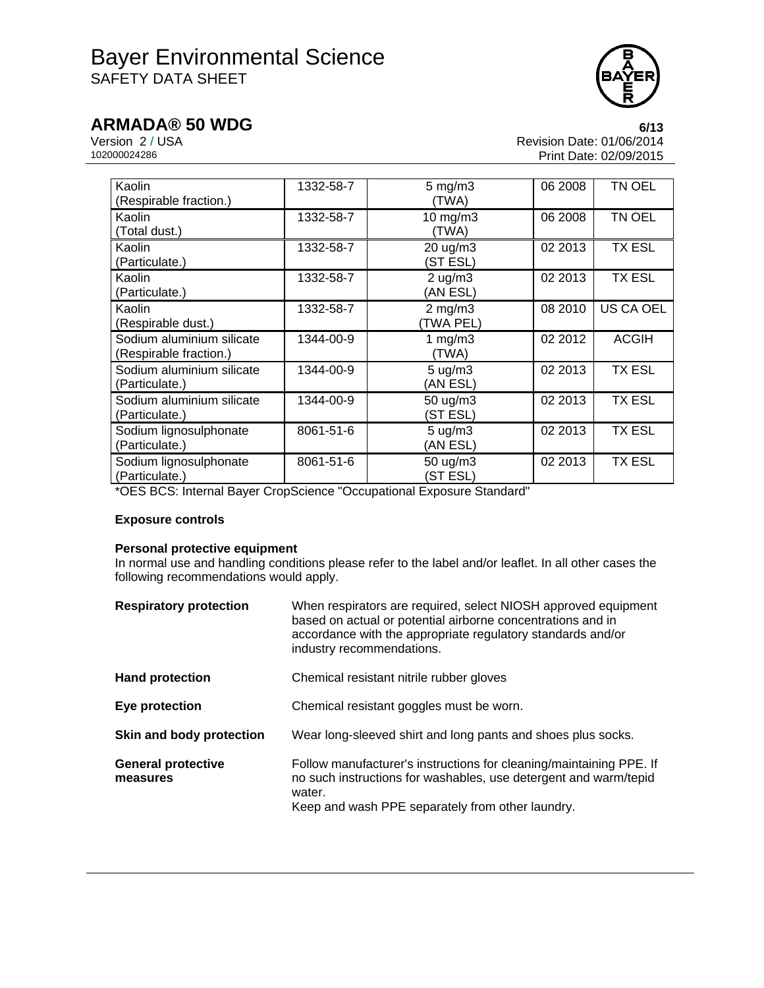

**ARMADA® 50 WDG** 6/13<br>Version 2 / USA 6/13 Version 2 / USA <br>102000024286 <br>Print Date: 02/09/2015 Print Date: 02/09/2015

| Kaolin<br>(Respirable fraction.)                    | 1332-58-7 | $5 \text{ mg/m}$<br>(TWA)      | 06 2008 | TN OEL        |
|-----------------------------------------------------|-----------|--------------------------------|---------|---------------|
| Kaolin<br>(Total dust.)                             | 1332-58-7 | $10$ mg/m $3$<br>(TWA)         | 06 2008 | TN OEL        |
| Kaolin<br>(Particulate.)                            | 1332-58-7 | $20 \text{ ug/m}3$<br>(ST ESL) | 02 2013 | <b>TX ESL</b> |
| Kaolin<br>(Particulate.)                            | 1332-58-7 | $2$ ug/m $3$<br>(AN ESL)       | 02 2013 | TX ESL        |
| Kaolin<br>(Respirable dust.)                        | 1332-58-7 | $2$ mg/m $3$<br>(TWA PEL)      | 08 2010 | US CA OEL     |
| Sodium aluminium silicate<br>(Respirable fraction.) | 1344-00-9 | 1 mg/m $3$<br>(TWA)            | 02 2012 | <b>ACGIH</b>  |
| Sodium aluminium silicate<br>(Particulate.)         | 1344-00-9 | $5 \text{ ug/m}$ 3<br>(AN ESL) | 02 2013 | TX ESL        |
| Sodium aluminium silicate<br>(Particulate.)         | 1344-00-9 | $50 \text{ u}g/m3$<br>(ST ESL) | 02 2013 | <b>TX ESL</b> |
| Sodium lignosulphonate<br>(Particulate.)            | 8061-51-6 | 5 ug/m3<br>(AN ESL)            | 02 2013 | <b>TX ESL</b> |
| Sodium lignosulphonate<br>(Particulate.)            | 8061-51-6 | 50 ug/m3<br>(ST ESL)           | 02 2013 | TX ESL        |

\*OES BCS: Internal Bayer CropScience "Occupational Exposure Standard"

## **Exposure controls**

### **Personal protective equipment**

In normal use and handling conditions please refer to the label and/or leaflet. In all other cases the following recommendations would apply.

| <b>Respiratory protection</b>         | When respirators are required, select NIOSH approved equipment<br>based on actual or potential airborne concentrations and in<br>accordance with the appropriate regulatory standards and/or<br>industry recommendations. |
|---------------------------------------|---------------------------------------------------------------------------------------------------------------------------------------------------------------------------------------------------------------------------|
| <b>Hand protection</b>                | Chemical resistant nitrile rubber gloves                                                                                                                                                                                  |
| Eye protection                        | Chemical resistant goggles must be worn.                                                                                                                                                                                  |
| Skin and body protection              | Wear long-sleeved shirt and long pants and shoes plus socks.                                                                                                                                                              |
| <b>General protective</b><br>measures | Follow manufacturer's instructions for cleaning/maintaining PPE. If<br>no such instructions for washables, use detergent and warm/tepid<br>water.<br>Keep and wash PPE separately from other laundry.                     |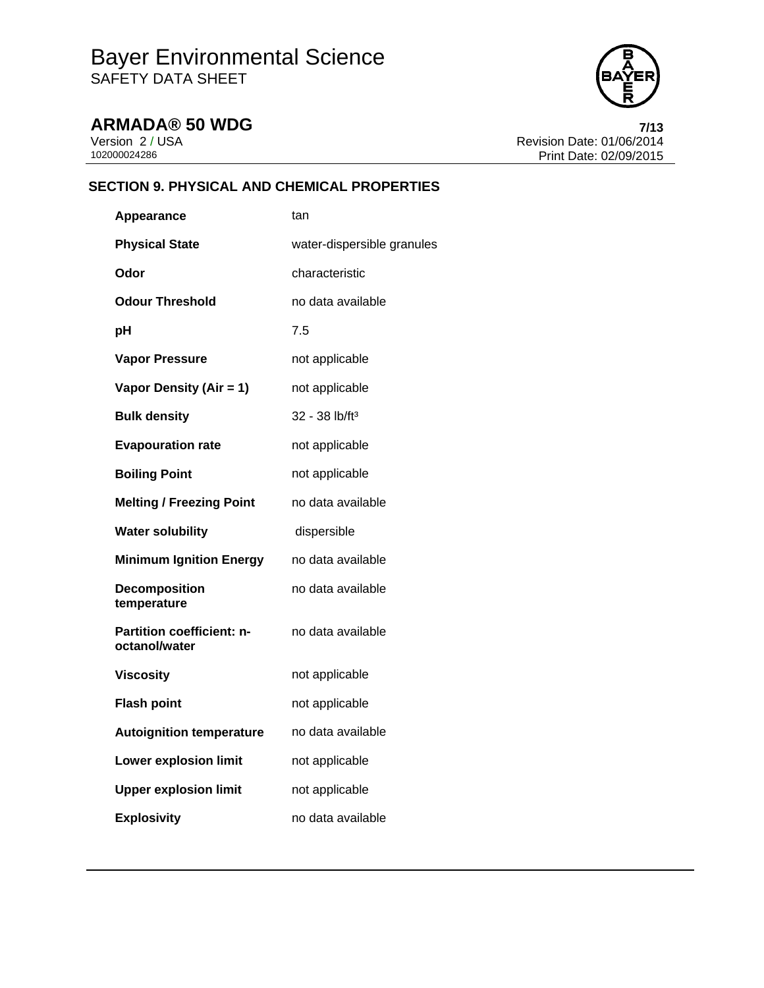

**ARMADA® 50 WDG**<br>Version 2/USA **7/13**<br>Revision Date: 01/06/2014 Version 2 / USA <br>102000024286 <br>Print Date: 02/09/2015 Print Date: 02/09/2015

## **SECTION 9. PHYSICAL AND CHEMICAL PROPERTIES**

| Appearance                                        | tan                        |
|---------------------------------------------------|----------------------------|
| <b>Physical State</b>                             | water-dispersible granules |
| Odor                                              | characteristic             |
| <b>Odour Threshold</b>                            | no data available          |
| рH                                                | 7.5                        |
| <b>Vapor Pressure</b>                             | not applicable             |
| Vapor Density (Air = 1)                           | not applicable             |
| <b>Bulk density</b>                               | 32 - 38 lb/ft <sup>3</sup> |
| <b>Evapouration rate</b>                          | not applicable             |
| <b>Boiling Point</b>                              | not applicable             |
| <b>Melting / Freezing Point</b>                   | no data available          |
| <b>Water solubility</b>                           | dispersible                |
| <b>Minimum Ignition Energy</b>                    | no data available          |
| <b>Decomposition</b><br>temperature               | no data available          |
| <b>Partition coefficient: n-</b><br>octanol/water | no data available          |
| <b>Viscosity</b>                                  | not applicable             |
| <b>Flash point</b>                                | not applicable             |
| <b>Autoignition temperature</b>                   | no data available          |
| <b>Lower explosion limit</b>                      | not applicable             |
|                                                   |                            |
| <b>Upper explosion limit</b>                      | not applicable             |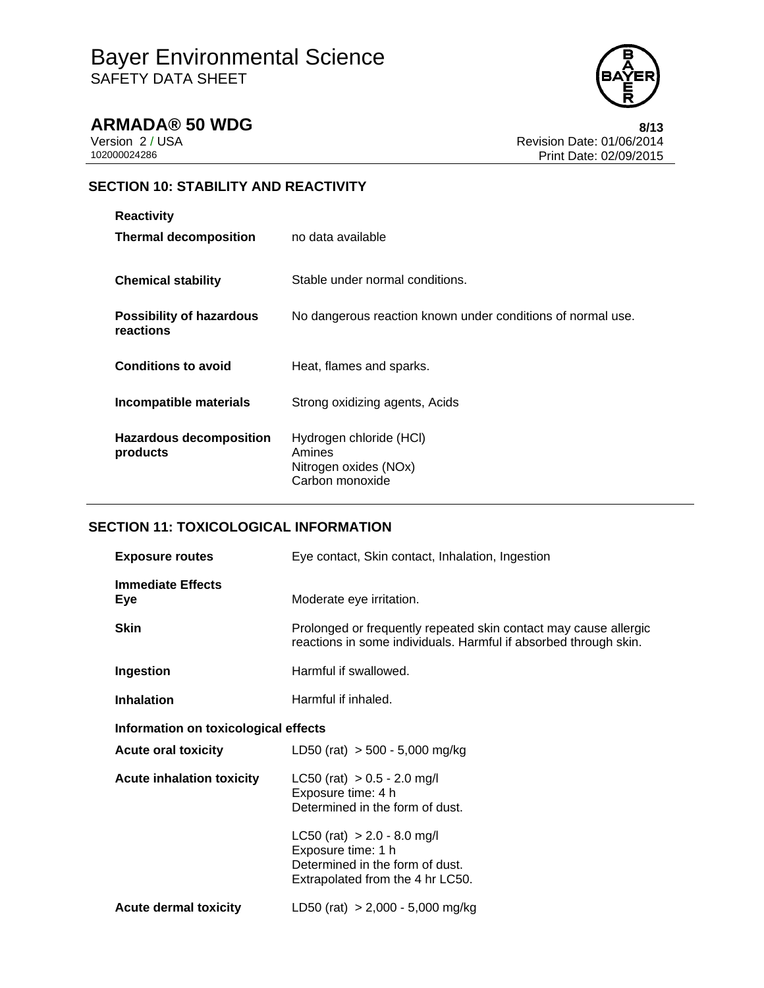

**ARMADA® 50 WDG** 8/13<br>Version 2/USA 8/13<br>Revision Date: 01/06/2014 Version 2 / USA <br>102000024286 <br>Print Date: 02/09/2015 Print Date: 02/09/2015

## **SECTION 10: STABILITY AND REACTIVITY**

| <b>Reactivity</b>                     |                                                                               |
|---------------------------------------|-------------------------------------------------------------------------------|
| <b>Thermal decomposition</b>          | no data available                                                             |
| <b>Chemical stability</b>             | Stable under normal conditions.                                               |
| Possibility of hazardous<br>reactions | No dangerous reaction known under conditions of normal use.                   |
| <b>Conditions to avoid</b>            | Heat, flames and sparks.                                                      |
| Incompatible materials                | Strong oxidizing agents, Acids                                                |
| Hazardous decomposition<br>products   | Hydrogen chloride (HCI)<br>Amines<br>Nitrogen oxides (NOx)<br>Carbon monoxide |

## **SECTION 11: TOXICOLOGICAL INFORMATION**

| <b>Exposure routes</b>               | Eye contact, Skin contact, Inhalation, Ingestion                                                                                     |
|--------------------------------------|--------------------------------------------------------------------------------------------------------------------------------------|
| <b>Immediate Effects</b><br>Eye      | Moderate eye irritation.                                                                                                             |
| <b>Skin</b>                          | Prolonged or frequently repeated skin contact may cause allergic<br>reactions in some individuals. Harmful if absorbed through skin. |
| Ingestion                            | Harmful if swallowed.                                                                                                                |
| <b>Inhalation</b>                    | Harmful if inhaled.                                                                                                                  |
| Information on toxicological effects |                                                                                                                                      |
| <b>Acute oral toxicity</b>           | LD50 (rat) $> 500 - 5,000$ mg/kg                                                                                                     |
| <b>Acute inhalation toxicity</b>     | LC50 (rat) $> 0.5 - 2.0$ mg/l<br>Exposure time: 4 h<br>Determined in the form of dust.                                               |
|                                      | $LC50$ (rat) $> 2.0 - 8.0$ mg/l<br>Exposure time: 1 h<br>Determined in the form of dust.<br>Extrapolated from the 4 hr LC50.         |
| <b>Acute dermal toxicity</b>         | LD50 (rat) $> 2,000 - 5,000$ mg/kg                                                                                                   |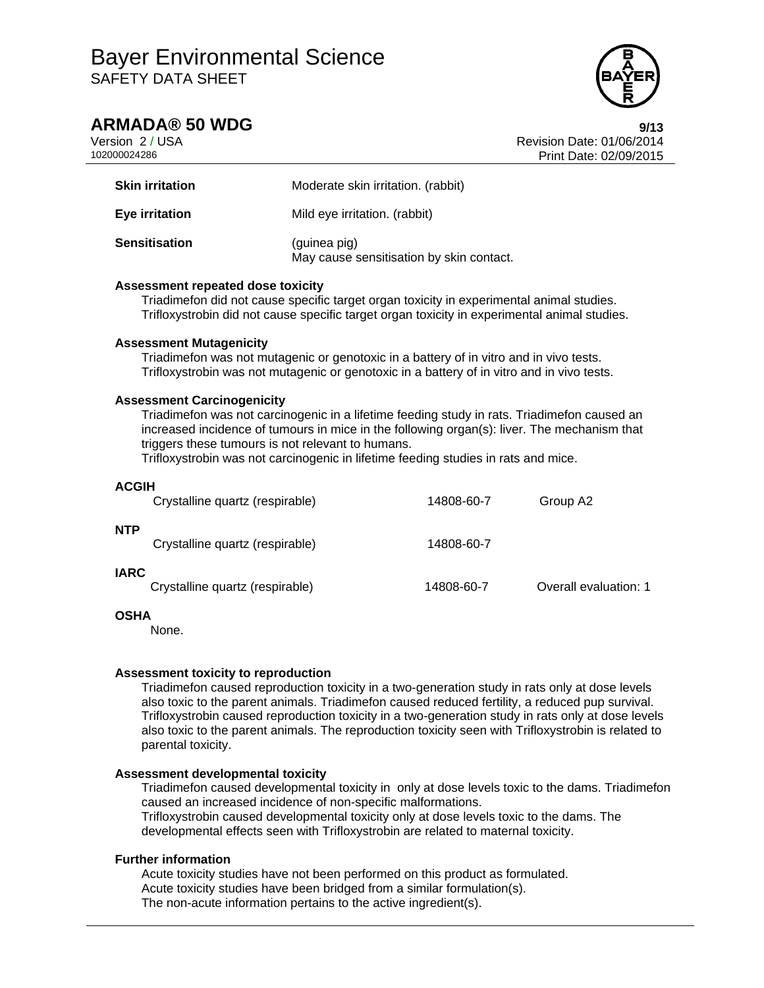## **ARMADA® 50 WDG 9/13**

Version 2 / USA Revision Date: 01/06/2014 102000024286 Print Date: 02/09/2015

| <b>Skin irritation</b> | Moderate skin irritation. (rabbit)                       |
|------------------------|----------------------------------------------------------|
| Eye irritation         | Mild eye irritation. (rabbit)                            |
| <b>Sensitisation</b>   | (guinea pig)<br>May cause sensitisation by skin contact. |

## **Assessment repeated dose toxicity**

Triadimefon did not cause specific target organ toxicity in experimental animal studies. Trifloxystrobin did not cause specific target organ toxicity in experimental animal studies.

## **Assessment Mutagenicity**

Triadimefon was not mutagenic or genotoxic in a battery of in vitro and in vivo tests. Trifloxystrobin was not mutagenic or genotoxic in a battery of in vitro and in vivo tests.

## **Assessment Carcinogenicity**

Triadimefon was not carcinogenic in a lifetime feeding study in rats. Triadimefon caused an increased incidence of tumours in mice in the following organ(s): liver. The mechanism that triggers these tumours is not relevant to humans.

Trifloxystrobin was not carcinogenic in lifetime feeding studies in rats and mice.

| <b>ACGIH</b> | Crystalline quartz (respirable) | 14808-60-7 | Group A2              |
|--------------|---------------------------------|------------|-----------------------|
| <b>NTP</b>   | Crystalline quartz (respirable) | 14808-60-7 |                       |
| <b>IARC</b>  | Crystalline quartz (respirable) | 14808-60-7 | Overall evaluation: 1 |

## **OSHA**

None.

### **Assessment toxicity to reproduction**

Triadimefon caused reproduction toxicity in a two-generation study in rats only at dose levels also toxic to the parent animals. Triadimefon caused reduced fertility, a reduced pup survival. Trifloxystrobin caused reproduction toxicity in a two-generation study in rats only at dose levels also toxic to the parent animals. The reproduction toxicity seen with Trifloxystrobin is related to parental toxicity.

### **Assessment developmental toxicity**

Triadimefon caused developmental toxicity in only at dose levels toxic to the dams. Triadimefon caused an increased incidence of non-specific malformations. Trifloxystrobin caused developmental toxicity only at dose levels toxic to the dams. The developmental effects seen with Trifloxystrobin are related to maternal toxicity.

## **Further information**

Acute toxicity studies have not been performed on this product as formulated. Acute toxicity studies have been bridged from a similar formulation(s). The non-acute information pertains to the active ingredient(s).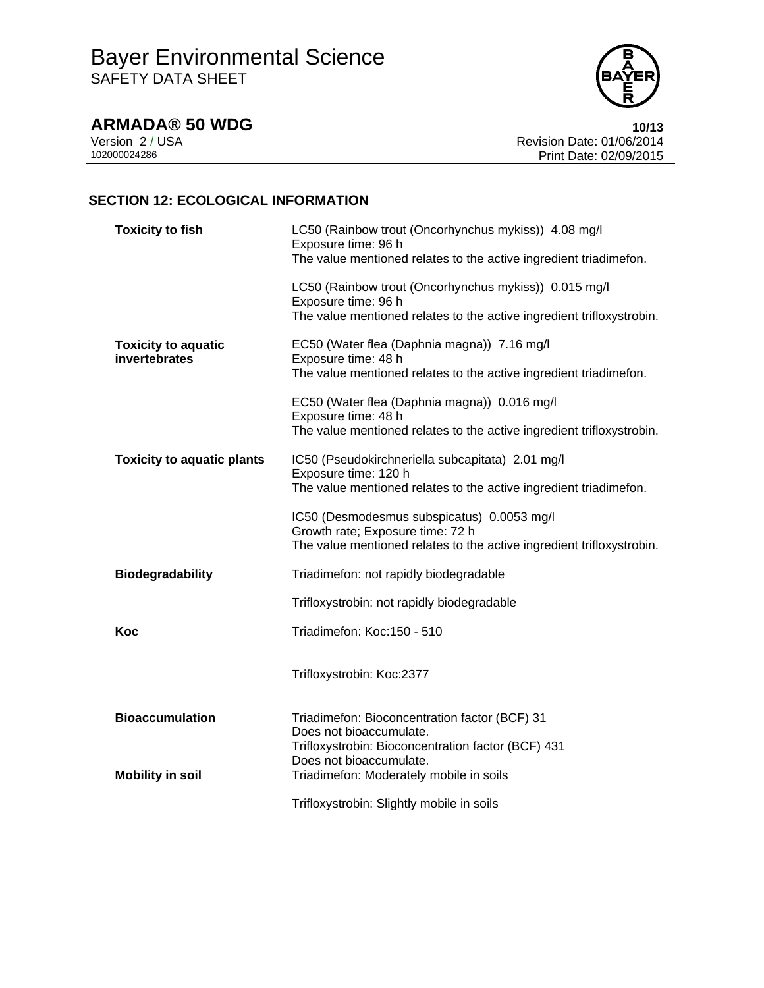**ARMADA® 50 WDG 10/13**<br>Version 2/USA **10/13**<br>Revision Date: 01/06/2014 Version 2 / USA <br>102000024286 <br>Print Date: 02/09/2015 Print Date: 02/09/2015

## **SECTION 12: ECOLOGICAL INFORMATION**

| <b>Toxicity to fish</b>                     | LC50 (Rainbow trout (Oncorhynchus mykiss)) 4.08 mg/l<br>Exposure time: 96 h<br>The value mentioned relates to the active ingredient triadimefon.        |  |  |
|---------------------------------------------|---------------------------------------------------------------------------------------------------------------------------------------------------------|--|--|
|                                             | LC50 (Rainbow trout (Oncorhynchus mykiss)) 0.015 mg/l<br>Exposure time: 96 h<br>The value mentioned relates to the active ingredient trifloxystrobin.   |  |  |
| <b>Toxicity to aquatic</b><br>invertebrates | EC50 (Water flea (Daphnia magna)) 7.16 mg/l<br>Exposure time: 48 h<br>The value mentioned relates to the active ingredient triadimefon.                 |  |  |
|                                             | EC50 (Water flea (Daphnia magna)) 0.016 mg/l<br>Exposure time: 48 h<br>The value mentioned relates to the active ingredient trifloxystrobin.            |  |  |
| <b>Toxicity to aquatic plants</b>           | IC50 (Pseudokirchneriella subcapitata) 2.01 mg/l<br>Exposure time: 120 h<br>The value mentioned relates to the active ingredient triadimefon.           |  |  |
|                                             | IC50 (Desmodesmus subspicatus) 0.0053 mg/l<br>Growth rate; Exposure time: 72 h<br>The value mentioned relates to the active ingredient trifloxystrobin. |  |  |
| <b>Biodegradability</b>                     | Triadimefon: not rapidly biodegradable                                                                                                                  |  |  |
|                                             | Trifloxystrobin: not rapidly biodegradable                                                                                                              |  |  |
| Koc                                         | Triadimefon: Koc:150 - 510                                                                                                                              |  |  |
|                                             | Trifloxystrobin: Koc:2377                                                                                                                               |  |  |
| <b>Bioaccumulation</b>                      | Triadimefon: Bioconcentration factor (BCF) 31<br>Does not bioaccumulate.<br>Trifloxystrobin: Bioconcentration factor (BCF) 431                          |  |  |
| <b>Mobility in soil</b>                     | Does not bioaccumulate.<br>Triadimefon: Moderately mobile in soils                                                                                      |  |  |
|                                             | Trifloxystrobin: Slightly mobile in soils                                                                                                               |  |  |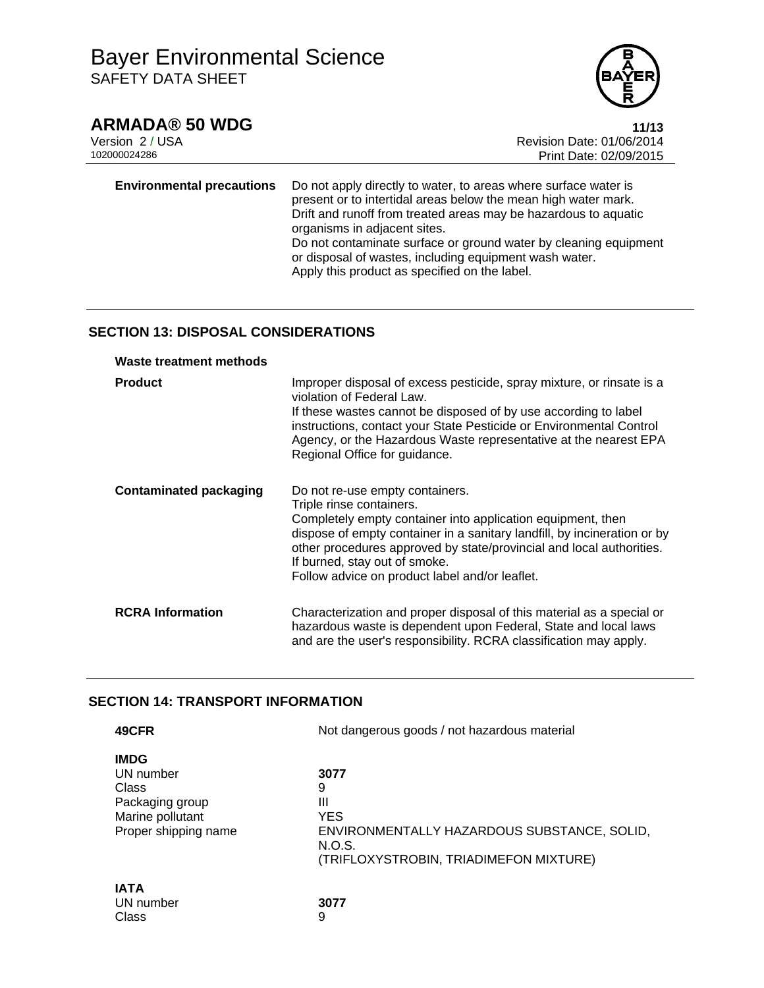

**ARMADA® 50 WDG** 11/13<br>Version 2 / USA 11/13 Version 2 / USA <br>102000024286<br>Print Date: 02/09/2015 Print Date: 02/09/2015

**Environmental precautions** Do not apply directly to water, to areas where surface water is present or to intertidal areas below the mean high water mark. Drift and runoff from treated areas may be hazardous to aquatic organisms in adjacent sites. Do not contaminate surface or ground water by cleaning equipment or disposal of wastes, including equipment wash water.

Apply this product as specified on the label.

## **SECTION 13: DISPOSAL CONSIDERATIONS**

| <b>Waste treatment methods</b> |                                                                                                                                                                                                                                                                                                                                                                   |
|--------------------------------|-------------------------------------------------------------------------------------------------------------------------------------------------------------------------------------------------------------------------------------------------------------------------------------------------------------------------------------------------------------------|
| <b>Product</b>                 | Improper disposal of excess pesticide, spray mixture, or rinsate is a<br>violation of Federal Law.<br>If these wastes cannot be disposed of by use according to label<br>instructions, contact your State Pesticide or Environmental Control<br>Agency, or the Hazardous Waste representative at the nearest EPA<br>Regional Office for guidance.                 |
| <b>Contaminated packaging</b>  | Do not re-use empty containers.<br>Triple rinse containers.<br>Completely empty container into application equipment, then<br>dispose of empty container in a sanitary landfill, by incineration or by<br>other procedures approved by state/provincial and local authorities.<br>If burned, stay out of smoke.<br>Follow advice on product label and/or leaflet. |
| <b>RCRA Information</b>        | Characterization and proper disposal of this material as a special or<br>hazardous waste is dependent upon Federal, State and local laws<br>and are the user's responsibility. RCRA classification may apply.                                                                                                                                                     |

## **SECTION 14: TRANSPORT INFORMATION**

| 49CFR                                                                                            | Not dangerous goods / not hazardous material                                                                                    |  |
|--------------------------------------------------------------------------------------------------|---------------------------------------------------------------------------------------------------------------------------------|--|
| <b>IMDG</b><br>UN number<br>Class<br>Packaging group<br>Marine pollutant<br>Proper shipping name | 3077<br>9<br>Ш<br><b>YES</b><br>ENVIRONMENTALLY HAZARDOUS SUBSTANCE, SOLID,<br>N.O.S.<br>(TRIFLOXYSTROBIN, TRIADIMEFON MIXTURE) |  |
| <b>IATA</b><br>UN number<br>Class                                                                | 3077<br>9                                                                                                                       |  |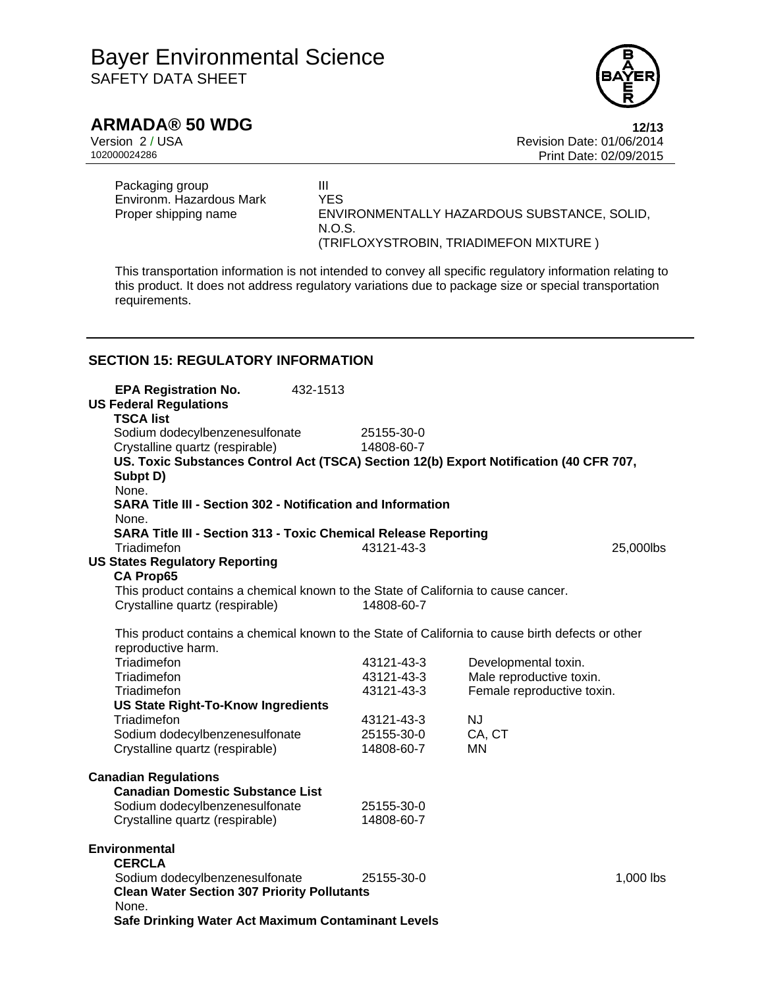

**ARMADA® 50 WDG** 12/13<br>Version 2 / USA 12/13<br>Revision Date: 01/06/2014 Version 2 / USA **Version 2 / USA Revision Date: 01/06/2014**<br>102000024286 **Print Date: 02/09/2015** Print Date: 02/09/2015

Packaging group<br>
Environm. Hazardous Mark YES Environm. Hazardous Mark Proper shipping name ENVIRONMENTALLY HAZARDOUS SUBSTANCE, SOLID, N.O.S. (TRIFLOXYSTROBIN, TRIADIMEFON MIXTURE )

This transportation information is not intended to convey all specific regulatory information relating to this product. It does not address regulatory variations due to package size or special transportation requirements.

## **SECTION 15: REGULATORY INFORMATION**

| <b>EPA Registration No.</b>                                                                       | 432-1513 |            |                            |             |
|---------------------------------------------------------------------------------------------------|----------|------------|----------------------------|-------------|
| <b>US Federal Regulations</b><br><b>TSCA list</b>                                                 |          |            |                            |             |
| Sodium dodecylbenzenesulfonate                                                                    |          | 25155-30-0 |                            |             |
| Crystalline quartz (respirable)                                                                   |          | 14808-60-7 |                            |             |
| US. Toxic Substances Control Act (TSCA) Section 12(b) Export Notification (40 CFR 707,            |          |            |                            |             |
| Subpt D)                                                                                          |          |            |                            |             |
| None.<br><b>SARA Title III - Section 302 - Notification and Information</b>                       |          |            |                            |             |
| None.                                                                                             |          |            |                            |             |
| <b>SARA Title III - Section 313 - Toxic Chemical Release Reporting</b>                            |          |            |                            |             |
| Triadimefon                                                                                       |          | 43121-43-3 |                            | 25,000lbs   |
| <b>US States Regulatory Reporting</b>                                                             |          |            |                            |             |
| <b>CA Prop65</b>                                                                                  |          |            |                            |             |
| This product contains a chemical known to the State of California to cause cancer.                |          |            |                            |             |
| Crystalline quartz (respirable)                                                                   |          | 14808-60-7 |                            |             |
| This product contains a chemical known to the State of California to cause birth defects or other |          |            |                            |             |
| reproductive harm.                                                                                |          |            |                            |             |
| Triadimefon                                                                                       |          | 43121-43-3 | Developmental toxin.       |             |
| Triadimefon                                                                                       |          | 43121-43-3 | Male reproductive toxin.   |             |
| Triadimefon                                                                                       |          | 43121-43-3 | Female reproductive toxin. |             |
| <b>US State Right-To-Know Ingredients</b>                                                         |          |            |                            |             |
| Triadimefon                                                                                       |          | 43121-43-3 | <b>NJ</b>                  |             |
| Sodium dodecylbenzenesulfonate                                                                    |          | 25155-30-0 | CA, CT                     |             |
| Crystalline quartz (respirable)                                                                   |          | 14808-60-7 | MN                         |             |
| <b>Canadian Regulations</b>                                                                       |          |            |                            |             |
| <b>Canadian Domestic Substance List</b>                                                           |          |            |                            |             |
| Sodium dodecylbenzenesulfonate                                                                    |          | 25155-30-0 |                            |             |
| Crystalline quartz (respirable)                                                                   |          | 14808-60-7 |                            |             |
|                                                                                                   |          |            |                            |             |
| <b>Environmental</b><br><b>CERCLA</b>                                                             |          |            |                            |             |
| Sodium dodecylbenzenesulfonate                                                                    |          | 25155-30-0 |                            | $1,000$ lbs |
| <b>Clean Water Section 307 Priority Pollutants</b>                                                |          |            |                            |             |
| None.                                                                                             |          |            |                            |             |
| Safe Drinking Water Act Maximum Contaminant Levels                                                |          |            |                            |             |